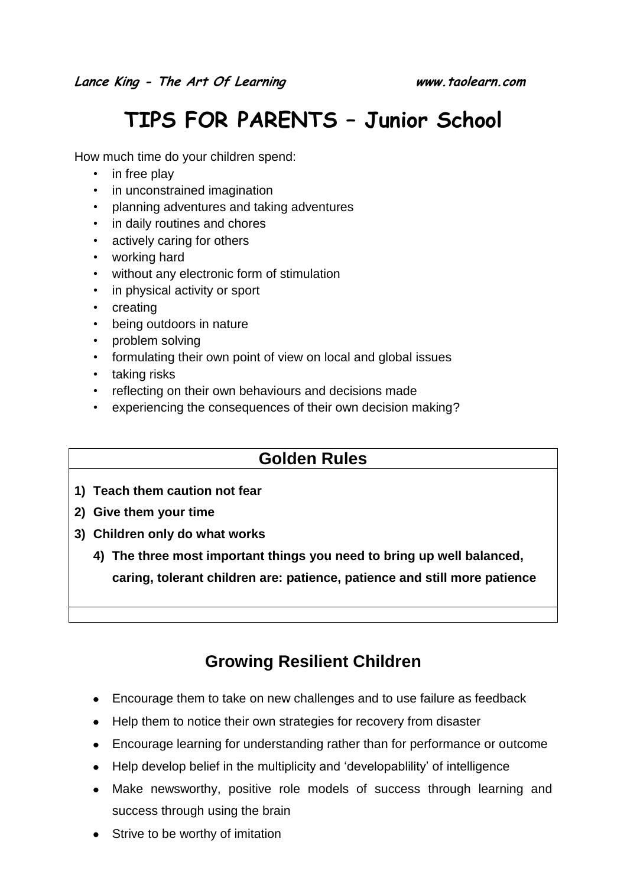# **TIPS FOR PARENTS – Junior School**

How much time do your children spend:

- in free play
- in unconstrained imagination
- planning adventures and taking adventures
- in daily routines and chores
- actively caring for others
- working hard
- without any electronic form of stimulation
- in physical activity or sport
- creating
- being outdoors in nature
- problem solving
- formulating their own point of view on local and global issues
- taking risks
- reflecting on their own behaviours and decisions made
- experiencing the consequences of their own decision making?

#### **Golden Rules**

- **1) Teach them caution not fear**
- **2) Give them your time**
- **3) Children only do what works**
	- **4) The three most important things you need to bring up well balanced, caring, tolerant children are: patience, patience and still more patience**

## **Growing Resilient Children**

- Encourage them to take on new challenges and to use failure as feedback
- Help them to notice their own strategies for recovery from disaster
- Encourage learning for understanding rather than for performance or outcome
- Help develop belief in the multiplicity and 'developablility' of intelligence
- Make newsworthy, positive role models of success through learning and success through using the brain
- Strive to be worthy of imitation